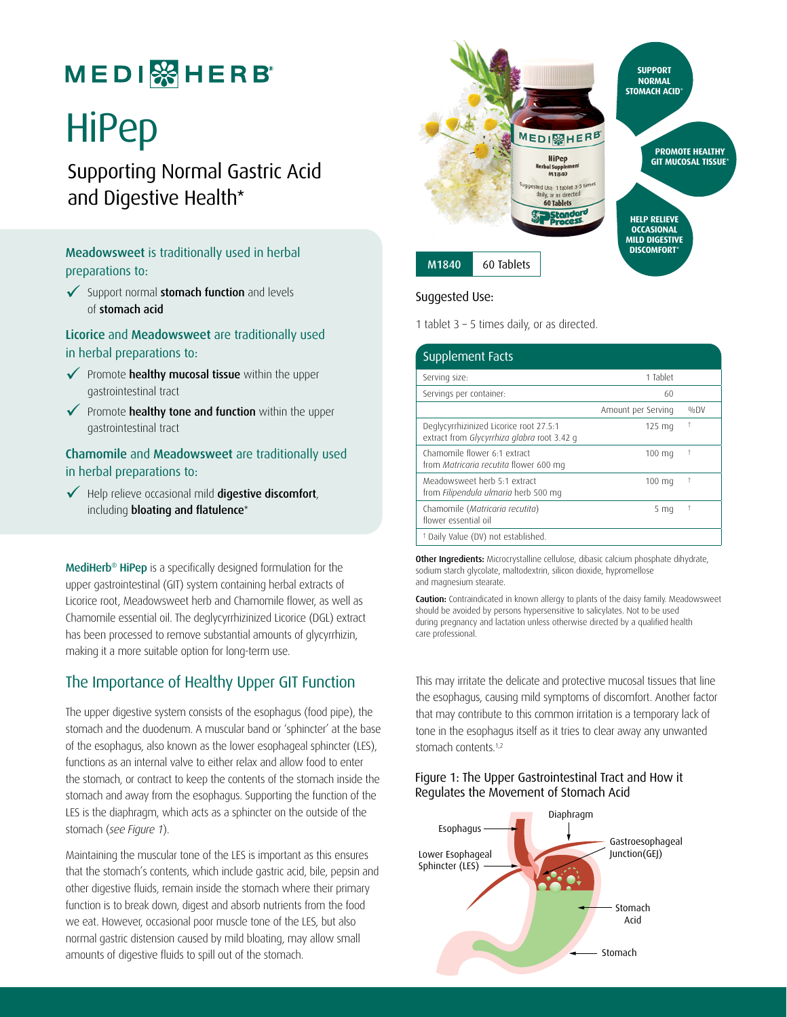# **MEDI** & HERB

# **HiPep**

Supporting Normal Gastric Acid and Digestive Health\*

#### Meadowsweet is traditionally used in herbal preparations to:

 $\checkmark$  Support normal stomach function and levels of stomach acid

Licorice and Meadowsweet are traditionally used in herbal preparations to:

- $\checkmark$  Promote healthy mucosal tissue within the upper gastrointestinal tract
- $\checkmark$  Promote healthy tone and function within the upper gastrointestinal tract

#### Chamomile and Meadowsweet are traditionally used in herbal preparations to:

 $\checkmark$  Help relieve occasional mild digestive discomfort, including **bloating and flatulence**\*

MediHerb® HiPep is a specifically designed formulation for the upper gastrointestinal (GIT) system containing herbal extracts of Licorice root, Meadowsweet herb and Chamomile flower, as well as Chamomile essential oil. The deglycyrrhizinized Licorice (DGL) extract has been processed to remove substantial amounts of glycyrrhizin, making it a more suitable option for long-term use.

## The Importance of Healthy Upper GIT Function

The upper digestive system consists of the esophagus (food pipe), the stomach and the duodenum. A muscular band or 'sphincter' at the base of the esophagus, also known as the lower esophageal sphincter (LES), functions as an internal valve to either relax and allow food to enter the stomach, or contract to keep the contents of the stomach inside the stomach and away from the esophagus. Supporting the function of the LES is the diaphragm, which acts as a sphincter on the outside of the stomach (*see Figure 1*).

Maintaining the muscular tone of the LES is important as this ensures that the stomach's contents, which include gastric acid, bile, pepsin and other digestive fluids, remain inside the stomach where their primary function is to break down, digest and absorb nutrients from the food we eat. However, occasional poor muscle tone of the LES, but also normal gastric distension caused by mild bloating, may allow small amounts of digestive fluids to spill out of the stomach.



#### Suggested Use:

1 tablet 3 – 5 times daily, or as directed.

| Supplement Facts                                                                       |                    |            |
|----------------------------------------------------------------------------------------|--------------------|------------|
| Serving size:                                                                          | 1 Tablet           |            |
| Servings per container:                                                                | 60                 |            |
|                                                                                        | Amount per Serving | $\%$ DV    |
| Deglycyrrhizinized Licorice root 27.5:1<br>extract from Glycyrrhiza glabra root 3.42 g | $125 \text{ mg}$   | $\ddagger$ |
| Chamomile flower 6:1 extract<br>from Matricaria recutita flower 600 mg                 | 100 mg             | $\ddagger$ |
| Meadowsweet herb 5.1 extract<br>from Filipendula ulmaria herb 500 mg                   | $100 \text{ mg}$   | $\ddagger$ |
| Chamomile (Matricaria recutita)<br>flower essential oil                                | 5 <sub>ma</sub>    | t          |
| <sup>†</sup> Daily Value (DV) not established.                                         |                    |            |

Other Ingredients: Microcrystalline cellulose, dibasic calcium phosphate dihydrate, sodium starch glycolate, maltodextrin, silicon dioxide, hypromellose and magnesium stearate.

Caution: Contraindicated in known allergy to plants of the daisy family. Meadowsweet should be avoided by persons hypersensitive to salicylates. Not to be used during pregnancy and lactation unless otherwise directed by a qualified health care professional.

This may irritate the delicate and protective mucosal tissues that line the esophagus, causing mild symptoms of discomfort. Another factor that may contribute to this common irritation is a temporary lack of tone in the esophagus itself as it tries to clear away any unwanted stomach contents.<sup>1,2</sup>

#### Figure 1: The Upper Gastrointestinal Tract and How it Regulates the Movement of Stomach Acid